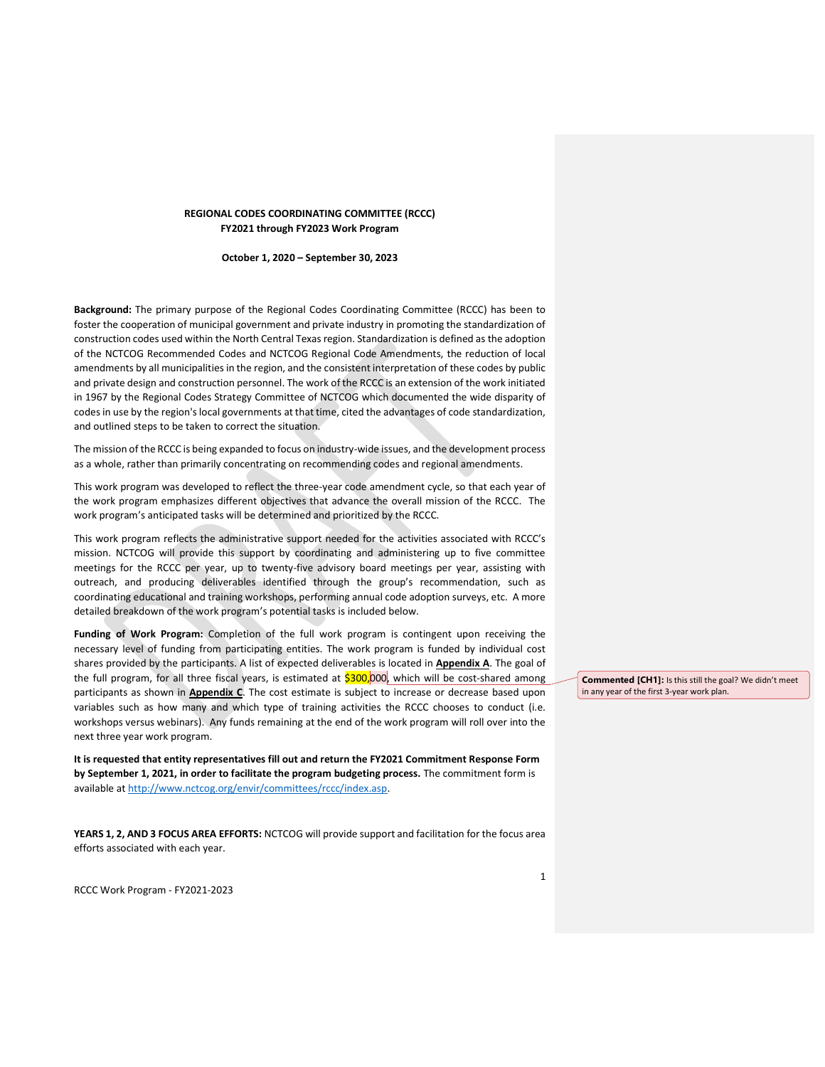# REGIONAL CODES COORDINATING COMMITTEE (RCCC) FY2021 through FY2023 Work Program

October 1, 2020 – September 30, 2023

Background: The primary purpose of the Regional Codes Coordinating Committee (RCCC) has been to foster the cooperation of municipal government and private industry in promoting the standardization of construction codes used within the North Central Texas region. Standardization is defined as the adoption of the NCTCOG Recommended Codes and NCTCOG Regional Code Amendments, the reduction of local amendments by all municipalities in the region, and the consistent interpretation of these codes by public and private design and construction personnel. The work of the RCCC is an extension of the work initiated in 1967 by the Regional Codes Strategy Committee of NCTCOG which documented the wide disparity of codes in use by the region's local governments at that time, cited the advantages of code standardization, and outlined steps to be taken to correct the situation.

The mission of the RCCC is being expanded to focus on industry-wide issues, and the development process as a whole, rather than primarily concentrating on recommending codes and regional amendments.

This work program was developed to reflect the three-year code amendment cycle, so that each year of the work program emphasizes different objectives that advance the overall mission of the RCCC. The work program's anticipated tasks will be determined and prioritized by the RCCC.

This work program reflects the administrative support needed for the activities associated with RCCC's mission. NCTCOG will provide this support by coordinating and administering up to five committee meetings for the RCCC per year, up to twenty-five advisory board meetings per year, assisting with outreach, and producing deliverables identified through the group's recommendation, such as coordinating educational and training workshops, performing annual code adoption surveys, etc. A more detailed breakdown of the work program's potential tasks is included below.

Funding of Work Program: Completion of the full work program is contingent upon receiving the necessary level of funding from participating entities. The work program is funded by individual cost shares provided by the participants. A list of expected deliverables is located in **Appendix A**. The goal of the full program, for all three fiscal years, is estimated at \$300,000, which will be cost-shared among participants as shown in **Appendix C**. The cost estimate is subject to increase or decrease based upon variables such as how many and which type of training activities the RCCC chooses to conduct (i.e. workshops versus webinars). Any funds remaining at the end of the work program will roll over into the next three year work program.

It is requested that entity representatives fill out and return the FY2021 Commitment Response Form by September 1, 2021, in order to facilitate the program budgeting process. The commitment form is available at http://www.nctcog.org/envir/committees/rccc/index.asp.

YEARS 1, 2, AND 3 FOCUS AREA EFFORTS: NCTCOG will provide support and facilitation for the focus area efforts associated with each year.

RCCC Work Program - FY2021-2023

Commented [CH1]: Is this still the goal? We didn't meet in any year of the first 3-year work plan.

1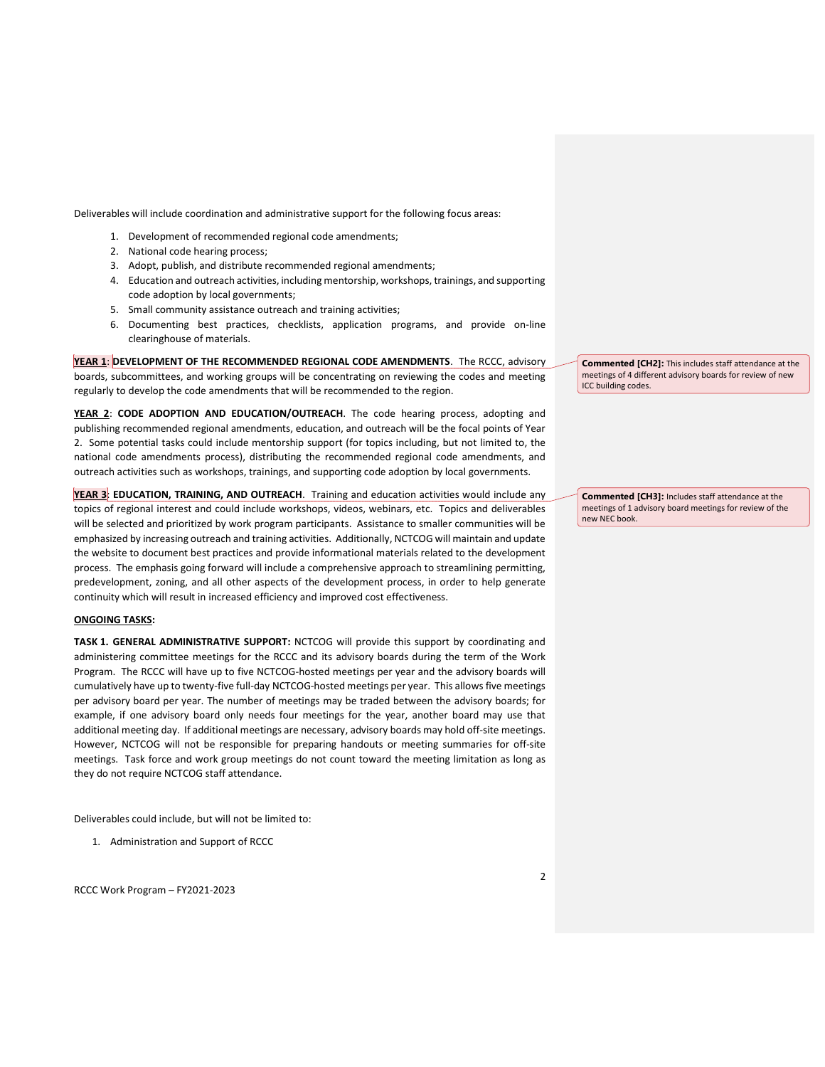Deliverables will include coordination and administrative support for the following focus areas:

- 1. Development of recommended regional code amendments;
- 2. National code hearing process;
- 3. Adopt, publish, and distribute recommended regional amendments;
- 4. Education and outreach activities, including mentorship, workshops, trainings, and supporting code adoption by local governments;
- 5. Small community assistance outreach and training activities;
- 6. Documenting best practices, checklists, application programs, and provide on-line clearinghouse of materials.

YEAR 1: DEVELOPMENT OF THE RECOMMENDED REGIONAL CODE AMENDMENTS. The RCCC, advisory boards, subcommittees, and working groups will be concentrating on reviewing the codes and meeting regularly to develop the code amendments that will be recommended to the region.

YEAR 2: CODE ADOPTION AND EDUCATION/OUTREACH. The code hearing process, adopting and publishing recommended regional amendments, education, and outreach will be the focal points of Year 2. Some potential tasks could include mentorship support (for topics including, but not limited to, the national code amendments process), distributing the recommended regional code amendments, and outreach activities such as workshops, trainings, and supporting code adoption by local governments.

YEAR 3: EDUCATION, TRAINING, AND OUTREACH. Training and education activities would include any topics of regional interest and could include workshops, videos, webinars, etc. Topics and deliverables will be selected and prioritized by work program participants. Assistance to smaller communities will be emphasized by increasing outreach and training activities. Additionally, NCTCOG will maintain and update the website to document best practices and provide informational materials related to the development process. The emphasis going forward will include a comprehensive approach to streamlining permitting, predevelopment, zoning, and all other aspects of the development process, in order to help generate continuity which will result in increased efficiency and improved cost effectiveness.

#### ONGOING TASKS:

TASK 1. GENERAL ADMINISTRATIVE SUPPORT: NCTCOG will provide this support by coordinating and administering committee meetings for the RCCC and its advisory boards during the term of the Work Program. The RCCC will have up to five NCTCOG-hosted meetings per year and the advisory boards will cumulatively have up to twenty-five full-day NCTCOG-hosted meetings per year. This allows five meetings per advisory board per year. The number of meetings may be traded between the advisory boards; for example, if one advisory board only needs four meetings for the year, another board may use that additional meeting day. If additional meetings are necessary, advisory boards may hold off-site meetings. However, NCTCOG will not be responsible for preparing handouts or meeting summaries for off-site meetings. Task force and work group meetings do not count toward the meeting limitation as long as they do not require NCTCOG staff attendance.

Deliverables could include, but will not be limited to:

1. Administration and Support of RCCC

RCCC Work Program – FY2021-2023

Commented [CH2]: This includes staff attendance at the meetings of 4 different advisory boards for review of new ICC building codes.

Commented [CH3]: Includes staff attendance at the meetings of 1 advisory board meetings for review of the new NEC book.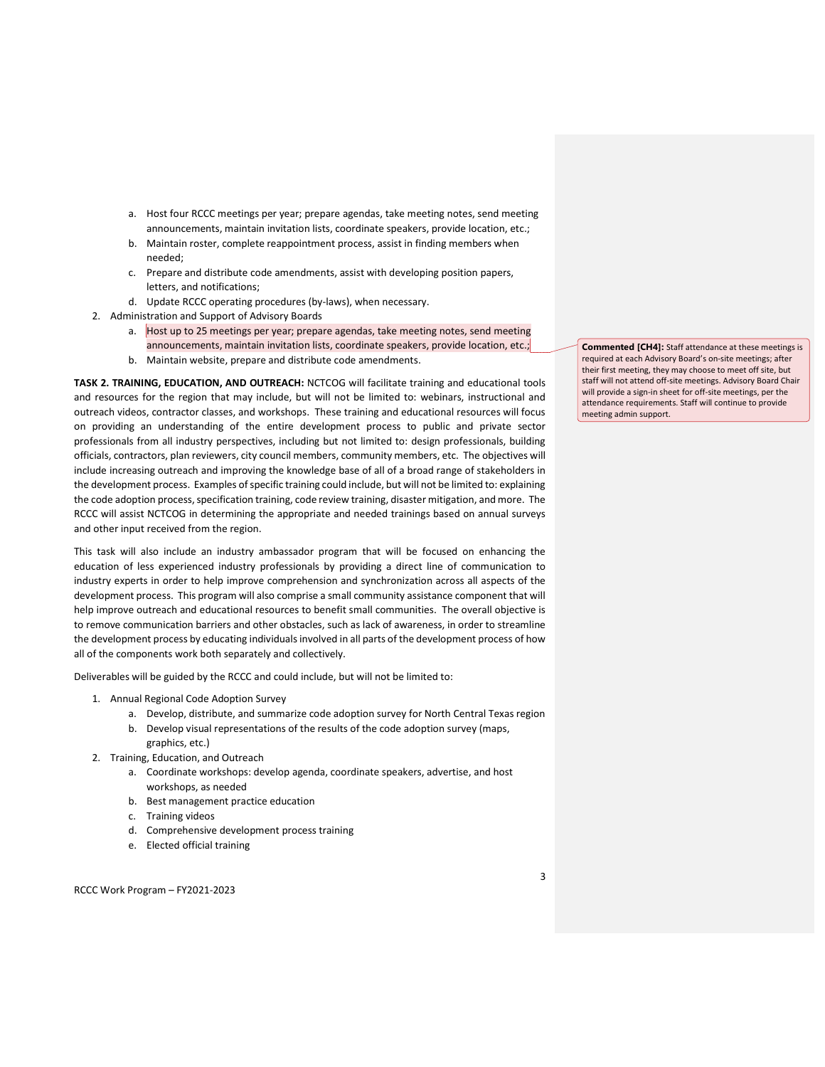- a. Host four RCCC meetings per year; prepare agendas, take meeting notes, send meeting announcements, maintain invitation lists, coordinate speakers, provide location, etc.;
- b. Maintain roster, complete reappointment process, assist in finding members when needed;
- c. Prepare and distribute code amendments, assist with developing position papers, letters, and notifications;
- d. Update RCCC operating procedures (by-laws), when necessary.
- 2. Administration and Support of Advisory Boards
	- a. Host up to 25 meetings per year; prepare agendas, take meeting notes, send meeting announcements, maintain invitation lists, coordinate speakers, provide location, etc.;
	- b. Maintain website, prepare and distribute code amendments.

TASK 2. TRAINING, EDUCATION, AND OUTREACH: NCTCOG will facilitate training and educational tools and resources for the region that may include, but will not be limited to: webinars, instructional and outreach videos, contractor classes, and workshops. These training and educational resources will focus on providing an understanding of the entire development process to public and private sector professionals from all industry perspectives, including but not limited to: design professionals, building officials, contractors, plan reviewers, city council members, community members, etc. The objectives will include increasing outreach and improving the knowledge base of all of a broad range of stakeholders in the development process. Examples of specific training could include, but will not be limited to: explaining the code adoption process, specification training, code review training, disaster mitigation, and more. The RCCC will assist NCTCOG in determining the appropriate and needed trainings based on annual surveys and other input received from the region.

This task will also include an industry ambassador program that will be focused on enhancing the education of less experienced industry professionals by providing a direct line of communication to industry experts in order to help improve comprehension and synchronization across all aspects of the development process. This program will also comprise a small community assistance component that will help improve outreach and educational resources to benefit small communities. The overall objective is to remove communication barriers and other obstacles, such as lack of awareness, in order to streamline the development process by educating individuals involved in all parts of the development process of how all of the components work both separately and collectively.

Deliverables will be guided by the RCCC and could include, but will not be limited to:

- 1. Annual Regional Code Adoption Survey
	- a. Develop, distribute, and summarize code adoption survey for North Central Texas region
	- b. Develop visual representations of the results of the code adoption survey (maps, graphics, etc.)
- 2. Training, Education, and Outreach
	- a. Coordinate workshops: develop agenda, coordinate speakers, advertise, and host workshops, as needed
	- b. Best management practice education
	- c. Training videos
	- d. Comprehensive development process training
	- e. Elected official training

Commented [CH4]: Staff attendance at these meetings is required at each Advisory Board's on-site meetings; after their first meeting, they may choose to meet off site, but staff will not attend off-site meetings. Advisory Board Chair will provide a sign-in sheet for off-site meetings, per the attendance requirements. Staff will continue to provide meeting admin support.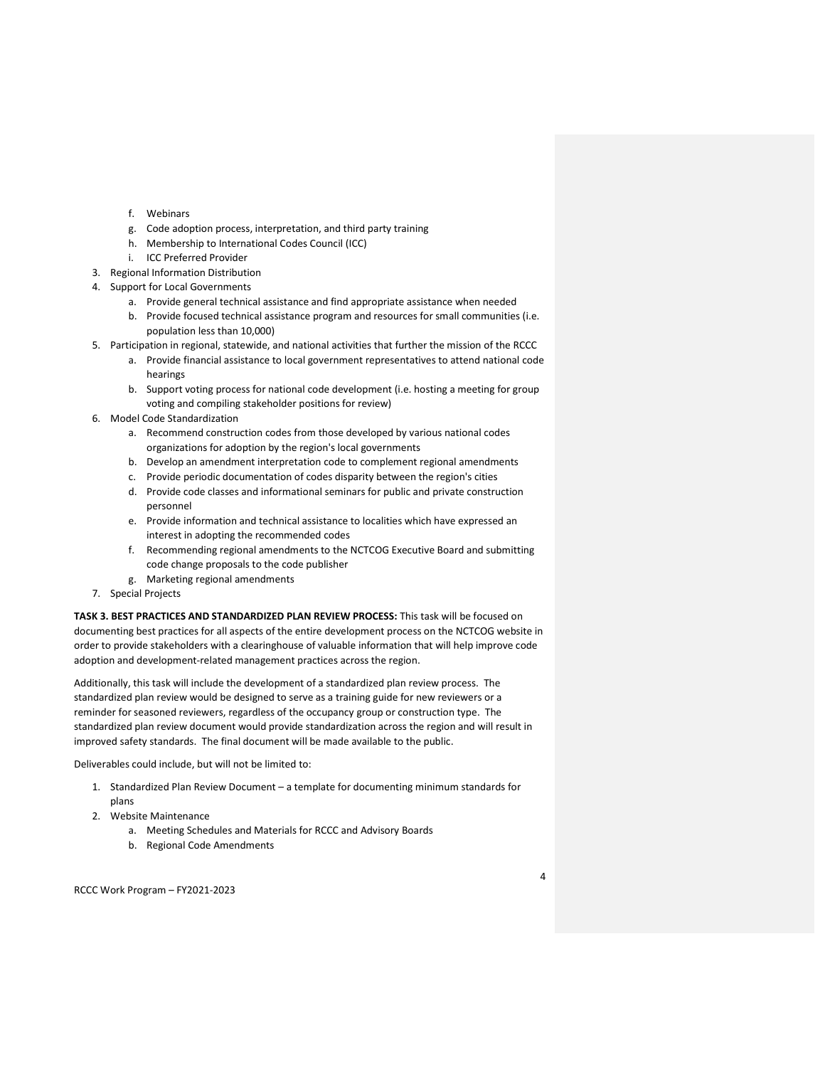- f. Webinars
- g. Code adoption process, interpretation, and third party training
- h. Membership to International Codes Council (ICC)
- i. ICC Preferred Provider
- 3. Regional Information Distribution
- 4. Support for Local Governments
	- a. Provide general technical assistance and find appropriate assistance when needed
	- b. Provide focused technical assistance program and resources for small communities (i.e. population less than 10,000)
- 5. Participation in regional, statewide, and national activities that further the mission of the RCCC
	- a. Provide financial assistance to local government representatives to attend national code hearings
	- b. Support voting process for national code development (i.e. hosting a meeting for group voting and compiling stakeholder positions for review)
- 6. Model Code Standardization
	- a. Recommend construction codes from those developed by various national codes organizations for adoption by the region's local governments
	- b. Develop an amendment interpretation code to complement regional amendments
	- c. Provide periodic documentation of codes disparity between the region's cities
	- d. Provide code classes and informational seminars for public and private construction personnel
	- e. Provide information and technical assistance to localities which have expressed an interest in adopting the recommended codes
	- f. Recommending regional amendments to the NCTCOG Executive Board and submitting code change proposals to the code publisher
	- g. Marketing regional amendments
- 7. Special Projects

TASK 3. BEST PRACTICES AND STANDARDIZED PLAN REVIEW PROCESS: This task will be focused on documenting best practices for all aspects of the entire development process on the NCTCOG website in order to provide stakeholders with a clearinghouse of valuable information that will help improve code adoption and development-related management practices across the region.

Additionally, this task will include the development of a standardized plan review process. The standardized plan review would be designed to serve as a training guide for new reviewers or a reminder for seasoned reviewers, regardless of the occupancy group or construction type. The standardized plan review document would provide standardization across the region and will result in improved safety standards. The final document will be made available to the public.

Deliverables could include, but will not be limited to:

- 1. Standardized Plan Review Document a template for documenting minimum standards for plans
- 2. Website Maintenance
	- a. Meeting Schedules and Materials for RCCC and Advisory Boards
	- b. Regional Code Amendments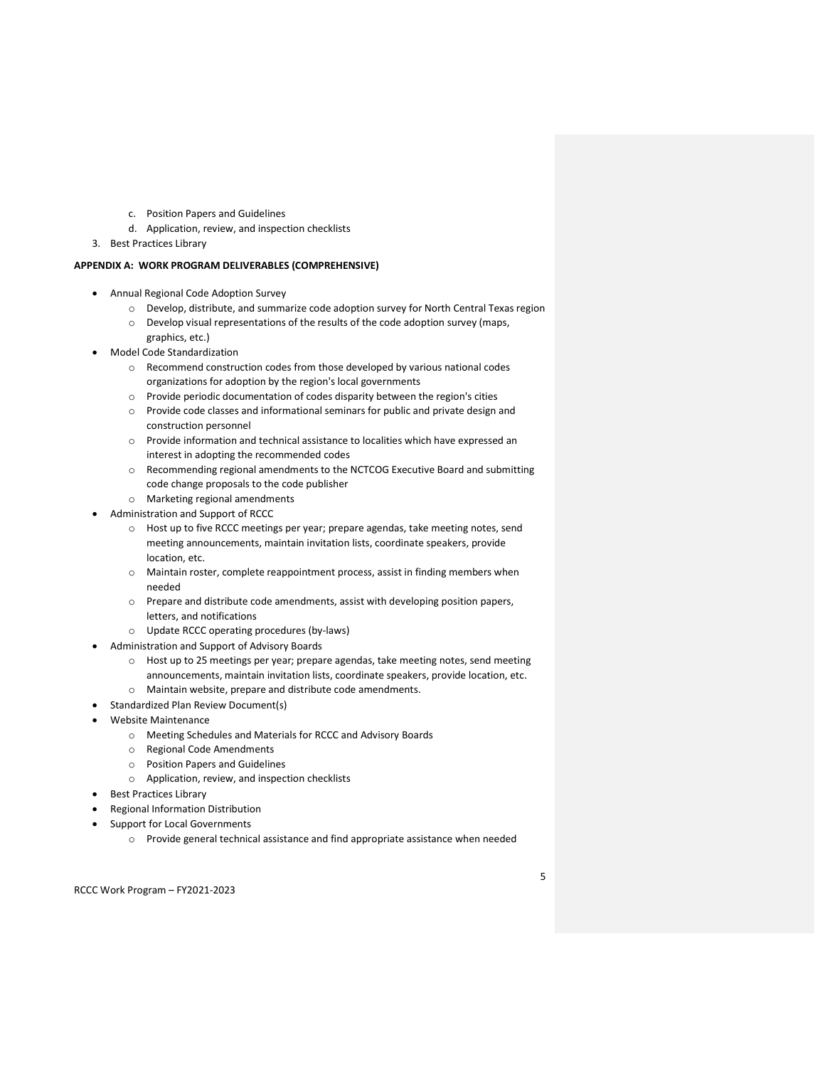- c. Position Papers and Guidelines
- d. Application, review, and inspection checklists
- 3. Best Practices Library

## APPENDIX A: WORK PROGRAM DELIVERABLES (COMPREHENSIVE)

- Annual Regional Code Adoption Survey
	- o Develop, distribute, and summarize code adoption survey for North Central Texas region
	- o Develop visual representations of the results of the code adoption survey (maps, graphics, etc.)
- Model Code Standardization
	- o Recommend construction codes from those developed by various national codes organizations for adoption by the region's local governments
	- o Provide periodic documentation of codes disparity between the region's cities
	- o Provide code classes and informational seminars for public and private design and construction personnel
	- o Provide information and technical assistance to localities which have expressed an interest in adopting the recommended codes
	- $\circ$  Recommending regional amendments to the NCTCOG Executive Board and submitting code change proposals to the code publisher
	- o Marketing regional amendments
- Administration and Support of RCCC
	- o Host up to five RCCC meetings per year; prepare agendas, take meeting notes, send meeting announcements, maintain invitation lists, coordinate speakers, provide location, etc.
	- o Maintain roster, complete reappointment process, assist in finding members when needed
	- o Prepare and distribute code amendments, assist with developing position papers, letters, and notifications
	- o Update RCCC operating procedures (by-laws)
- Administration and Support of Advisory Boards
	- o Host up to 25 meetings per year; prepare agendas, take meeting notes, send meeting announcements, maintain invitation lists, coordinate speakers, provide location, etc. o Maintain website, prepare and distribute code amendments.
- Standardized Plan Review Document(s)
- Website Maintenance
	- o Meeting Schedules and Materials for RCCC and Advisory Boards
	- o Regional Code Amendments
	- o Position Papers and Guidelines
	- o Application, review, and inspection checklists
- Best Practices Library
- Regional Information Distribution
- Support for Local Governments
	- o Provide general technical assistance and find appropriate assistance when needed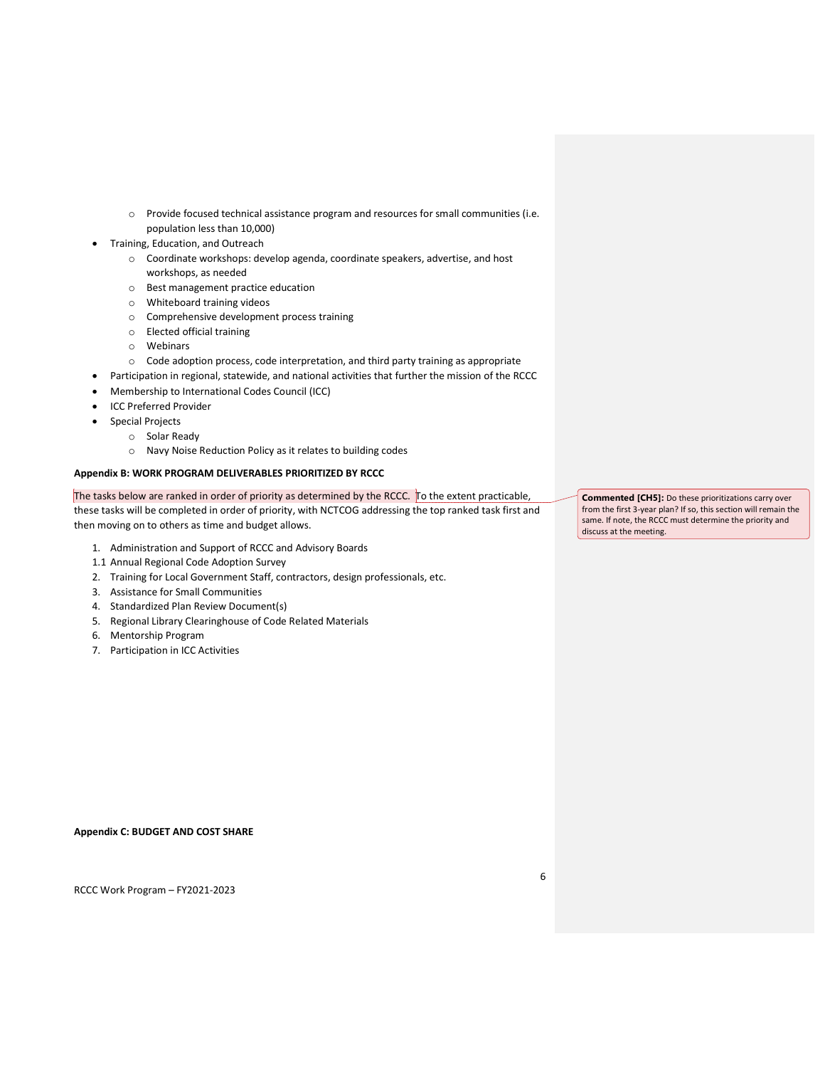- o Provide focused technical assistance program and resources for small communities (i.e. population less than 10,000)
- Training, Education, and Outreach
	- o Coordinate workshops: develop agenda, coordinate speakers, advertise, and host workshops, as needed
	- o Best management practice education
	- o Whiteboard training videos
	- o Comprehensive development process training
	- o Elected official training
	- o Webinars
	- o Code adoption process, code interpretation, and third party training as appropriate
	- Participation in regional, statewide, and national activities that further the mission of the RCCC
- Membership to International Codes Council (ICC)
- ICC Preferred Provider
- Special Projects
	- o Solar Ready
		- o Navy Noise Reduction Policy as it relates to building codes

## Appendix B: WORK PROGRAM DELIVERABLES PRIORITIZED BY RCCC

The tasks below are ranked in order of priority as determined by the RCCC. To the extent practicable, these tasks will be completed in order of priority, with NCTCOG addressing the top ranked task first and then moving on to others as time and budget allows.

- 1. Administration and Support of RCCC and Advisory Boards
- 1.1 Annual Regional Code Adoption Survey
- 2. Training for Local Government Staff, contractors, design professionals, etc.
- 3. Assistance for Small Communities
- 4. Standardized Plan Review Document(s)
- 5. Regional Library Clearinghouse of Code Related Materials
- 6. Mentorship Program
- 7. Participation in ICC Activities

Commented [CH5]: Do these prioritizations carry over from the first 3-year plan? If so, this section will remain the same. If note, the RCCC must determine the priority and discuss at the meeting.

Appendix C: BUDGET AND COST SHARE